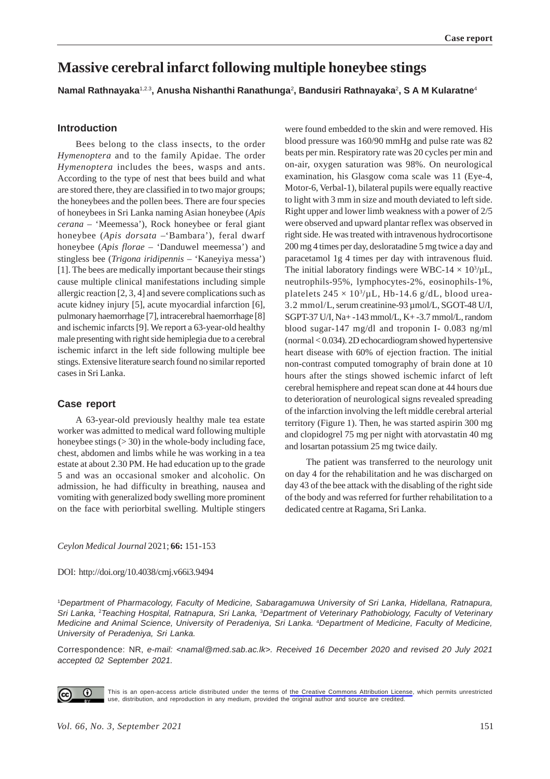# **Massive cerebral infarct following multiple honeybee stings**

**Namal Rathnayaka**1,2.3**, Anusha Nishanthi Ranathunga**<sup>2</sup> **, Bandusiri Rathnayaka**2**, S A M Kularatne**<sup>4</sup>

# **Introduction**

Bees belong to the class insects, to the order *Hymenoptera* and to the family Apidae. The order *Hymenoptera* includes the bees, wasps and ants. According to the type of nest that bees build and what are stored there, they are classified in to two major groups; the honeybees and the pollen bees. There are four species of honeybees in Sri Lanka naming Asian honeybee (*Apis cerana* – 'Meemessa'), Rock honeybee or feral giant honeybee (*Apis dorsata –*'Bambara'), feral dwarf honeybee (*Apis florae* – 'Danduwel meemessa') and stingless bee (*Trigona iridipennis* – 'Kaneyiya messa') [1]. The bees are medically important because their stings cause multiple clinical manifestations including simple allergic reaction [2, 3, 4] and severe complications such as acute kidney injury [5], acute myocardial infarction [6], pulmonary haemorrhage [7], intracerebral haemorrhage [8] and ischemic infarcts [9]. We report a 63-year-old healthy male presenting with right side hemiplegia due to a cerebral ischemic infarct in the left side following multiple bee stings. Extensive literature search found no similar reported cases in Sri Lanka.

# **Case report**

A 63-year-old previously healthy male tea estate worker was admitted to medical ward following multiple honeybee stings  $(>30)$  in the whole-body including face, chest, abdomen and limbs while he was working in a tea estate at about 2.30 PM. He had education up to the grade 5 and was an occasional smoker and alcoholic. On admission, he had difficulty in breathing, nausea and vomiting with generalized body swelling more prominent on the face with periorbital swelling. Multiple stingers

were found embedded to the skin and were removed. His blood pressure was 160/90 mmHg and pulse rate was 82 beats per min. Respiratory rate was 20 cycles per min and on-air, oxygen saturation was 98%. On neurological examination, his Glasgow coma scale was 11 (Eye-4, Motor-6, Verbal-1), bilateral pupils were equally reactive to light with 3 mm in size and mouth deviated to left side. Right upper and lower limb weakness with a power of 2/5 were observed and upward plantar reflex was observed in right side. He was treated with intravenous hydrocortisone 200 mg 4 times per day, desloratadine 5 mg twice a day and paracetamol 1g 4 times per day with intravenous fluid. The initial laboratory findings were WBC-14  $\times$  10<sup>3</sup>/µL, neutrophils-95%, lymphocytes-2%, eosinophils-1%, platelets  $245 \times 10^3/\mu L$ , Hb-14.6 g/dL, blood urea-3.2 mmol/L, serum creatinine-93 µmol/L, SGOT-48 U/I, SGPT-37 U/I, Na+ -143 mmol/L, K+ -3.7 mmol/L, random blood sugar-147 mg/dl and troponin I- 0.083 ng/ml (normal < 0.034). 2D echocardiogram showed hypertensive heart disease with 60% of ejection fraction. The initial non-contrast computed tomography of brain done at 10 hours after the stings showed ischemic infarct of left cerebral hemisphere and repeat scan done at 44 hours due to deterioration of neurological signs revealed spreading of the infarction involving the left middle cerebral arterial territory (Figure 1). Then, he was started aspirin 300 mg and clopidogrel 75 mg per night with atorvastatin 40 mg and losartan potassium 25 mg twice daily.

 The patient was transferred to the neurology unit on day 4 for the rehabilitation and he was discharged on day 43 of the bee attack with the disabling of the right side of the body and was referred for further rehabilitation to a dedicated centre at Ragama, Sri Lanka.

*Ceylon Medical Journal* 2021; **66:** 151-153

DOI: http://doi.org/10.4038/cmj.v66i3.9494

1 *Department of Pharmacology, Faculty of Medicine, Sabaragamuwa University of Sri Lanka, Hidellana, Ratnapura, Sri Lanka,* <sup>2</sup> *Teaching Hospital, Ratnapura, Sri Lanka,* <sup>3</sup> *Department of Veterinary Pathobiology, Faculty of Veterinary Medicine and Animal Science, University of Peradeniya, Sri Lanka.* <sup>4</sup> *Department of Medicine, Faculty of Medicine, University of Peradeniya, Sri Lanka.*

Correspondence: NR, *e-mail: <namal@med.sab.ac.lk>. Received 16 December 2020 and revised 20 July 2021 accepted 02 September 2021.*



This is an open-access article distributed under the terms of [the Creative Commons Attribution License](https://creativecommons.org/licenses/by/4.0/legalcode), which permits unrestricted use, distribution, and reproduction in any medium, provided the original author and source are credited.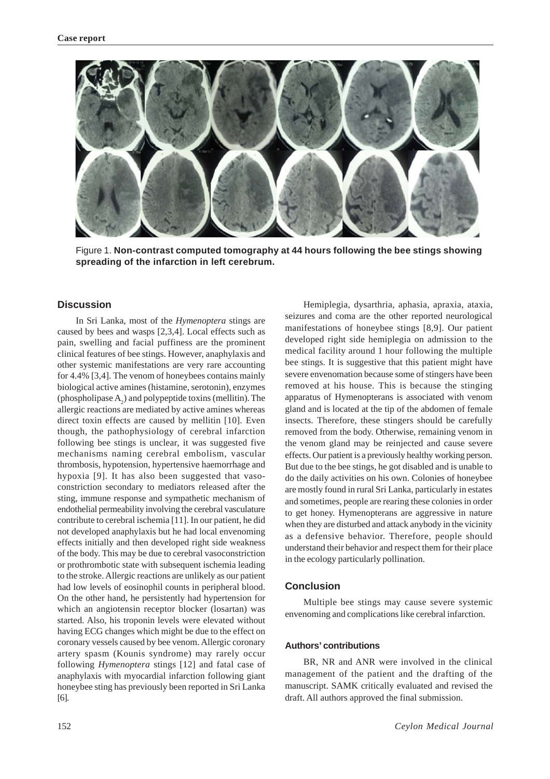

Figure 1. **Non-contrast computed tomography at 44 hours following the bee stings showing spreading of the infarction in left cerebrum.**

# **Discussion**

In Sri Lanka, most of the *Hymenoptera* stings are caused by bees and wasps [2,3,4]. Local effects such as pain, swelling and facial puffiness are the prominent clinical features of bee stings. However, anaphylaxis and other systemic manifestations are very rare accounting for 4.4% [3,4]. The venom of honeybees contains mainly biological active amines (histamine, serotonin), enzymes (phospholipase  $A_2$ ) and polypeptide toxins (mellitin). The allergic reactions are mediated by active amines whereas direct toxin effects are caused by mellitin [10]. Even though, the pathophysiology of cerebral infarction following bee stings is unclear, it was suggested five mechanisms naming cerebral embolism, vascular thrombosis, hypotension, hypertensive haemorrhage and hypoxia [9]. It has also been suggested that vasoconstriction secondary to mediators released after the sting, immune response and sympathetic mechanism of endothelial permeability involving the cerebral vasculature contribute to cerebral ischemia [11]. In our patient, he did not developed anaphylaxis but he had local envenoming effects initially and then developed right side weakness of the body. This may be due to cerebral vasoconstriction or prothrombotic state with subsequent ischemia leading to the stroke. Allergic reactions are unlikely as our patient had low levels of eosinophil counts in peripheral blood. On the other hand, he persistently had hypertension for which an angiotensin receptor blocker (losartan) was started. Also, his troponin levels were elevated without having ECG changes which might be due to the effect on coronary vessels caused by bee venom. Allergic coronary artery spasm (Kounis syndrome) may rarely occur following *Hymenoptera* stings [12] and fatal case of anaphylaxis with myocardial infarction following giant honeybee sting has previously been reported in Sri Lanka [6].

Hemiplegia, dysarthria, aphasia, apraxia, ataxia, seizures and coma are the other reported neurological manifestations of honeybee stings [8,9]. Our patient developed right side hemiplegia on admission to the medical facility around 1 hour following the multiple bee stings. It is suggestive that this patient might have severe envenomation because some of stingers have been removed at his house. This is because the stinging apparatus of Hymenopterans is associated with venom gland and is located at the tip of the abdomen of female insects. Therefore, these stingers should be carefully removed from the body. Otherwise, remaining venom in the venom gland may be reinjected and cause severe effects. Our patient is a previously healthy working person. But due to the bee stings, he got disabled and is unable to do the daily activities on his own. Colonies of honeybee are mostly found in rural Sri Lanka, particularly in estates and sometimes, people are rearing these colonies in order to get honey. Hymenopterans are aggressive in nature when they are disturbed and attack anybody in the vicinity as a defensive behavior. Therefore, people should understand their behavior and respect them for their place in the ecology particularly pollination.

## **Conclusion**

Multiple bee stings may cause severe systemic envenoming and complications like cerebral infarction.

#### **Authors' contributions**

BR, NR and ANR were involved in the clinical management of the patient and the drafting of the manuscript. SAMK critically evaluated and revised the draft. All authors approved the final submission.